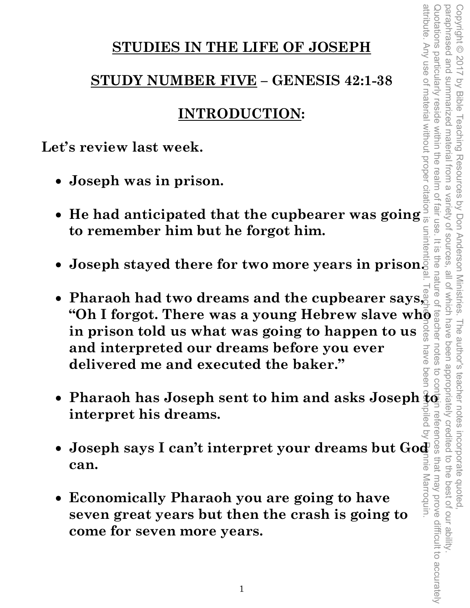## **STUDIES IN THE LIFE OF JOSEPH**

# **STUDY NUMBER FIVE – GENESIS 42:1-38**

# **INTRODUCTION:**

**Let's review last week.** 

- **Joseph was in prison.**
- **He had anticipated that the cupbearer was going to remember him but he forgot him.**
- **Joseph stayed there for two more years in prison.**
- **Pharaoh had two dreams and the cupbearer says, "Oh I forgot. There was a young Hebrew slave whometally in prison told us what was going to happen to us**  $\frac{5}{9}$ **in prison told us what was going to happen to us and interpreted our dreams before you ever**  nave **delivered me and executed the baker."**
- Pharaoh has Joseph sent to him and asks Joseph  $\frac{2}{3}$ **interpret his dreams.**
- **can.**
- **Joseph says I can't interpret your dreams but God as and the same of the same of the same of the same of the same of the seven great years but then the crash is going to have seven great years but then the crash is goin** • **Economically Pharaoh you are going to have seven great years but then the crash is going to come for seven more years.**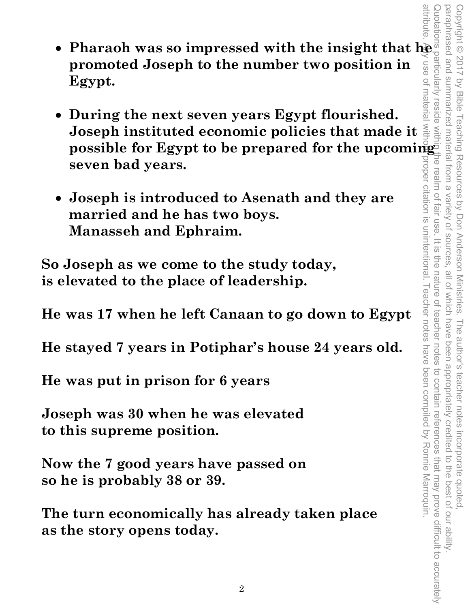- **Pharaoh was so impressed with the insight that he promoted Joseph to the number two position in Egypt.**
- **During the next seven years Egypt flourished. Joseph instituted economic policies that made it possible for Egypt to be prepared for the upcoming seven bad years.**
- **Joseph is introduced to Asenath and they are married and he has two boys. Manasseh and Ephraim.**

**So Joseph as we come to the study today, is elevated to the place of leadership.** 

**He was 17 when he left Canaan to go down to Egypt** 

**He stayed 7 years in Potiphar's house 24 years old.** 

**He was put in prison for 6 years** 

**Joseph was 30 when he was elevated to this supreme position.** 

**Now the 7 good years have passed on so he is probably 38 or 39.** 

**The turn economically has already taken place as the story opens today.**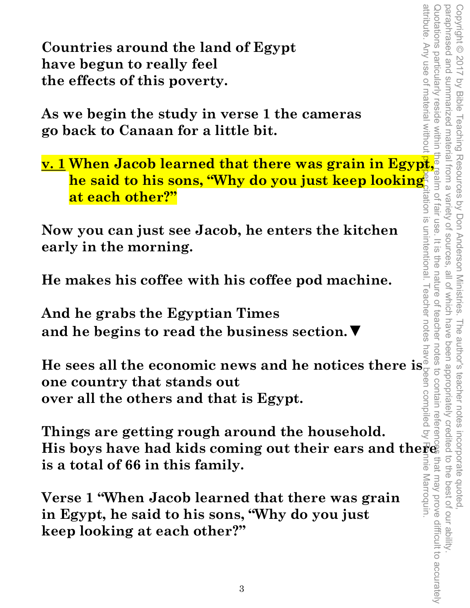attribute. Any use of material without attribute. Any use of material without proper citation is unintentional. Teacher notes have been compiled by Ronnie Marroquin. Quotations particularly reside within the realm of fair use. It is the nature of teacher notes to contain references that may prove difficult to accurately Copyright © 2017 by Bible Teaching Resources by Don Anderson Ministries. The author's teacher notes incorporate quoted,<br>paraphrased and summarized material from a variety of sources, all of which have been appropriately c paraphrased and summarized material from a variety of sources, all of which have been appropriately credited to the best of our ability. Copyright © 2017 by Bible Teaching Resources by Don Anderson Ministries. The author's teacher notes incorporate quoted, the nature of teachel that may prove difficult to accurately inie Marroquin.

**Countries around the land of Egypt have begun to really feel the effects of this poverty.** 

**As we begin the study in verse 1 the cameras go back to Canaan for a little bit.** 

**Countries around the land of Egypt**<br>
have begun to really feel<br>
the effects of this poverty.<br>
As we begin the study in verse 1 the cameras<br>
go back to Canaan for a little bit.<br>
<u>v. 1</u> When Jacob learned that there was gra **he said to his sons, "Why do you just keep looking at each other?"** 

**Now you can just see Jacob, he enters the kitchen early in the morning.** 

**He makes his coffee with his coffee pod machine.** 

**And he grabs the Egyptian Times and he begins to read the business section.▼**

**He sees all the economic news and he notices there is one country that stands out over all the others and that is Egypt.** 

**Things are getting rough around the household.**  His boys have had kids coming out their ears and there **is a total of 66 in this family.** 

**Verse 1 "When Jacob learned that there was grain in Egypt, he said to his sons, "Why do you just keep looking at each other?"**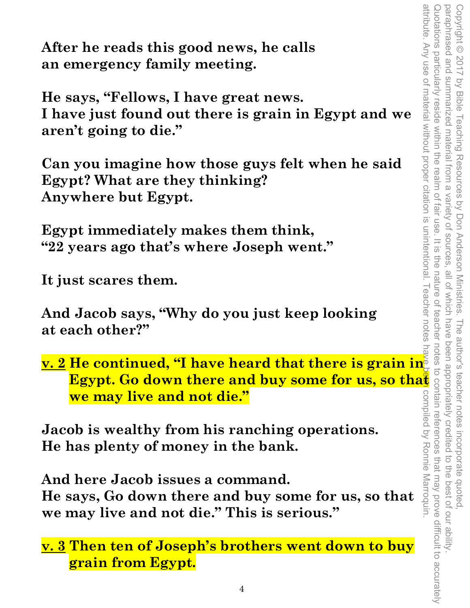**After he reads this good news, he calls an emergency family meeting.** 

**He says, "Fellows, I have great news. I have just found out there is grain in Egypt and we aren't going to die."** 

**Can you imagine how those guys felt when he said Egypt? What are they thinking? Anywhere but Egypt.** 

**Egypt immediately makes them think, "22 years ago that's where Joseph went."** 

**It just scares them.** 

**And Jacob says, "Why do you just keep looking at each other?"** 

**v. 2 He continued, "I have heard that there is grain in Egypt. Go down there and buy some for us, so that**<br>
we may live and not die."<br>
ob is wealthy from his ranching operations.<br>
has plenty of money in the bank.<br>
l here Jacob issues a command.<br>
says, Go down there and buy som **we may live and not die."** 

**Jacob is wealthy from his ranching operations. He has plenty of money in the bank.** 

**And here Jacob issues a command.** 

**He says, Go down there and buy some for us, so that we may live and not die." This is serious."** 

**v. 3 Then ten of Joseph's brothers went down to buy grain from Egypt.**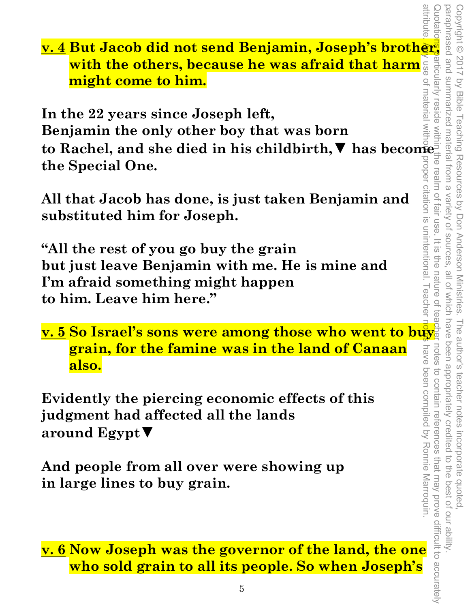**v. 4 But Jacob did not send Benjamin, Joseph's brother, with the others, because he was afraid that harm might come to him.** 

**In the 22 years since Joseph left, Benjamin the only other boy that was born to Rachel, and she died in his childbirth,▼ has become the Special One.** 

**All that Jacob has done, is just taken Benjamin and substituted him for Joseph.** 

**"All the rest of you go buy the grain but just leave Benjamin with me. He is mine and I'm afraid something might happen to him. Leave him here."** 

**v. 5 So Israel's sons were among those who went to buy grain, for the famine was in the land of Canaan also.** 

**Evidently the piercing economic effects of this judgment had affected all the lands around Egypt▼**

**And people from all over were showing up in large lines to buy grain.** 

**v. 6 Now Joseph was the governor of the land, the one who sold grain to all its people. So when Joseph's**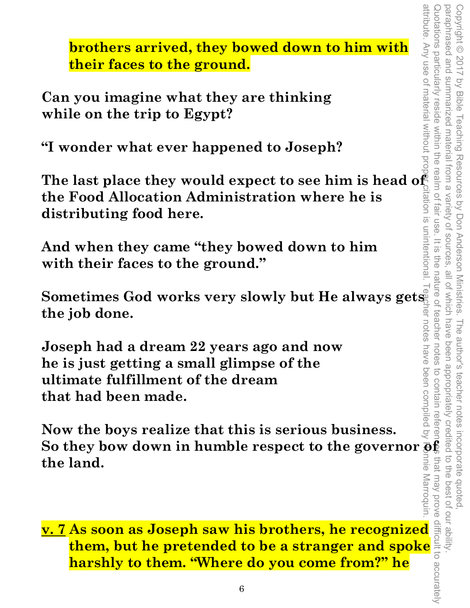**brothers arrived, they bowed down to him with their faces to the ground.** 

**Can you imagine what they are thinking while on the trip to Egypt?** 

**"I wonder what ever happened to Joseph?** 

**The last place they would expect to see him is head of the Food Allocation Administration where he is distributing food here.** 

**And when they came "they bowed down to him with their faces to the ground."** 

**Sometimes God works very slowly but He always gets the job done.** 

**Joseph had a dream 22 years ago and now he is just getting a small glimpse of the ultimate fulfillment of the dream that had been made.** 

**Now the boys realize that this is serious business.**  So they bow down in humble respect to the governor  $\bar{\mathbf{g}}_k^{\mathbf{f}}$ **the land.** 

**v. 7 As soon as Joseph saw his brothers, he recognized them, but he pretended to be a stranger and spoke harshly to them. "Where do you come from?" he**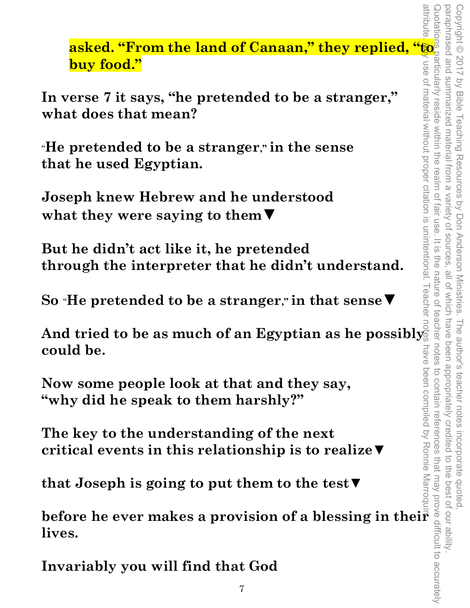**asked. "From the land of Canaan," they replied, "we have food."**<br> **buy food."**<br>
erse 7 it says, "he pretended to be a stranger," and the assumption of  $\frac{1}{2}$ <br>
and  $\frac{1}{2}$  are  $\frac{1}{2}$ <br>
pretended to be a stranger," i **buy food."** 

**In verse 7 it says, "he pretended to be a stranger," what does that mean?** 

"**He pretended to be a stranger," in the sense that he used Egyptian.** 

**Joseph knew Hebrew and he understood what they were saying to them▼**

**But he didn't act like it, he pretended through the interpreter that he didn't understand.** 

**So** "**He pretended to be a stranger," in that sense▼** 

And tried to be as much of an Egyptian as he possibly<sup>3</sup> **could be.**  And tried to be as much of an Egyptian as he possibly could be.<br>
<br>
solud be.<br>
Now some people look at that and they say,<br>
"why did he speak to them harshly?"<br>
The key to the understanding of the next<br>
critical events in t

**Now some people look at that and they say, "why did he speak to them harshly?"** 

**The key to the understanding of the next critical events in this relationship is to realize▼** 

**that Joseph is going to put them to the test▼** 

**lives.** 

**Invariably you will find that God**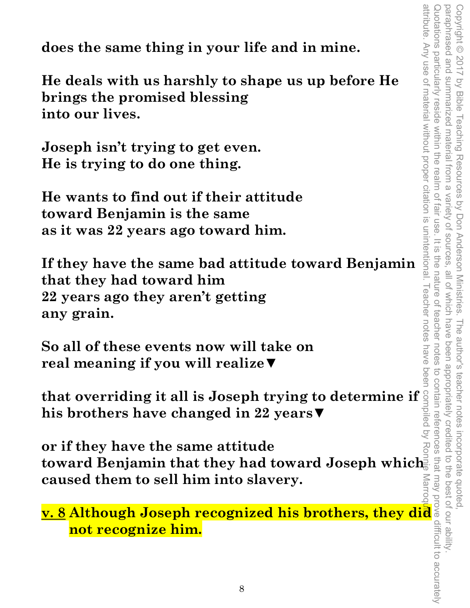**does the same thing in your life and in mine.** 

**He deals with us harshly to shape us up before He brings the promised blessing into our lives.** 

**Joseph isn't trying to get even. He is trying to do one thing.** 

**He wants to find out if their attitude toward Benjamin is the same as it was 22 years ago toward him.** 

**If they have the same bad attitude toward Benjamin that they had toward him 22 years ago they aren't getting any grain.** 

**So all of these events now will take on real meaning if you will realize▼**

**that overriding it all is Joseph trying to determine if his brothers have changed in 22 years▼** 

**or if they have the same attitude toward Benjamin that they had toward Joseph which caused them to sell him into slavery. So all of these events now will take on**<br>
real meaning if you will realize  $\Psi$ <br>
that overriding it all is Joseph trying to determine if  $\frac{3}{2}$ <br>
his brothers have changed in 22 years  $\Psi$ <br>
or if they have the same atti

**not recognize him.**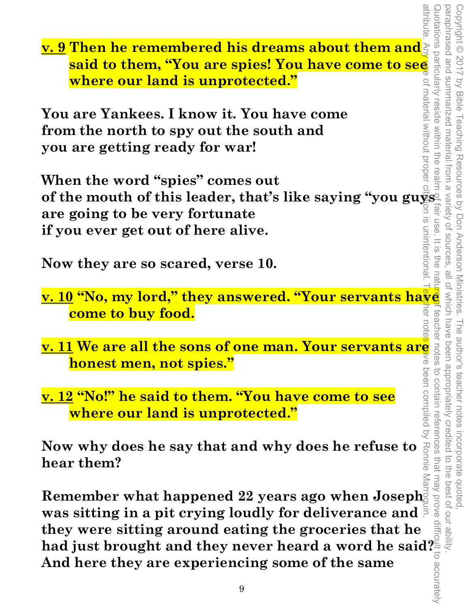attribute. Any use of material without proper citation is unintentional. Teacher notes have been compiled by Ronnie Marroquin. Quotations particularly reside within the realm of fair use. It is the nature nature it is the nature ontain references that may prove difficult to accurately paraphrased and summarized material from a variety of sources, all of which have been appropriately credited to the best of our ability. Copyright © 2017 by Bible Teaching Resources by Don Anderson Ministries. The author's teacher notes incorporate quoted, oaraphrased and summarized material from a variety of sources Copyright © 2017 by Bible Teaching Resources by Don Anderson Ministries. **of the mouth of this leader, that's like saying "you guys"**<br> **order and the mouth of the mouth of this unprotected."**<br> **Solution of the mouth of this unprotected."**<br> **Solution of the north to spy out the south and you ar v. 9 Then he remembered his dreams about them and said to them, "You are spies! You have come to see where our land is unprotected."**  ot material without propei **You are Yankees. I know it. You have come from the north to spy out the south and you are getting ready for war! When the word "spies" comes out are going to be very fortunate**  n is unintentiona **if you ever get out of here alive.**   $rac{1}{\sqrt{2}}$ FIG<sub>O</sub> **Now they are so scared, verse 10.**  all of Which have **v. 10 "No, my lord," they answered. "Your servants have come to buy food. v. 11 We are all the sons of one man. Your servants are all thought the sons of one man. Your servants are all thought of the solution of the solution of the solution of the solution of the solution of the solution of the** The author's teacher notes incorporate quoted,<br>have been appropriately credited to the best of our ability **honest men, not spies." v. 12 "No!" he said to them. "You have come to see where our land is unprotected." Now why does he say that and why does he refuse to hear them? Remember what happened 22 years ago when Joseph was sitting in a pit crying loudly for deliverance and they were sitting around eating the groceries that he had just brought and they never heard a word he said?** 

**And here they are experiencing some of the same**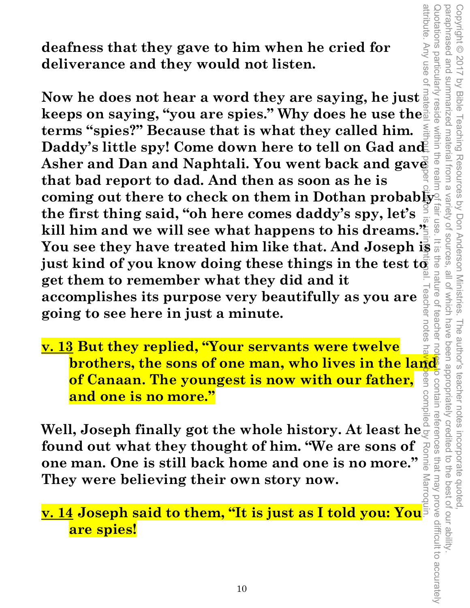**deafness that they gave to him when he cried for deliverance and they would not listen.** 

attribute. Any use of material without proper citation is unintentional. Teacher notes have been compiled by Ronnie Marroquin. **Now he does not hear a word they are saying, he just**  keeps on saying, "you are spies." Why does he use the **terms "spies?" Because that is what they called him.**  Daddy's little spy! Come down here to tell on Gad and **Asher and Dan and Naphtali. You went back and gave that bad report to dad. And then as soon as he is coming out there to check on them in Dothan probably the first thing said, "oh here comes daddy's spy, let's**  $\frac{2}{5}$ **<br>kill him and we will see what hannens to his dreams." the first thing said, "oh here comes daddy's spy, let's**  kill him and we will see what happens to his dreams.<sup>'</sup> **You see they have treated him like that. And Joseph is**  just kind of you know doing these things in the test to **get them to remember what they did and it**  eacher notes **accomplishes its purpose very beautifully as you are going to see here in just a minute.** 

Copyright © 2017 by Bible Teaching Resources by Don Anderson Ministries. The author's teacher notes incorporate quoted,

The author's teacher notes

been appropriately credited

i incorporate quoted,<br>redited to the best of our ability

Copyright © 2017 by Bible Teaching Resources by Don Anderson Ministries.

paraphrased and summarized material from a variety of sources, all of which have been appropriately credited to the best of our ability.

I summarized material from a variety of sources, all of which have

Quotations particularly reside within the realm of fair use. It is the nature of teacher notes to contain references that may prove difficult to accurately

teacher

 $\overline{O}$ 

the nature of

attribute. Any use o

Quotations particularly reside

within the realm

paraphrased and

**v. 13 But they replied, "Your servants were twelve of Canaan. The youngest is now with our father, and one is no more."** 

**brothers, the sons of one man, who lives in the land<br>
of Canaan. The youngest is now with our father,**  $\frac{8}{9}$  **s<br>
and one is no more."<br>
1, Joseph finally got the whole history. At least he<br>
and out what they thought of h Well, Joseph finally got the whole history. At least he found out what they thought of him. "We are sons of one man. One is still back home and one is no more." They were believing their own story now.** 

**v. 14 Joseph said to them, "It is just as I told you: You are spies!**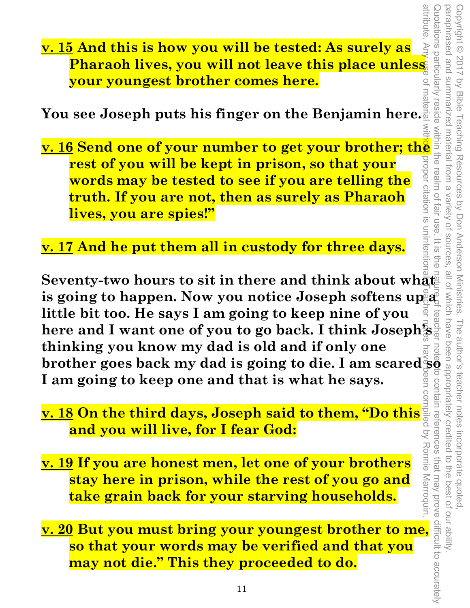attribute.

**v. 15 And this is how you will be tested: As surely as Pharaoh lives, you will not leave this place unless your youngest brother comes here.** 

**You see Joseph puts his finger on the Benjamin here.** 

**v. 15 And this is how you will be tested: As surely as a small point of the place in the place in the place of sour youngest brother comes here.**<br>
You see Joseph puts his finger on the Benjamin here all property of the **s rest of you will be kept in prison, so that your words may be tested to see if you are telling the truth. If you are not, then as surely as Pharaoh lives, you are spies!"** 

**v. 17 And he put them all in custody for three days.** 

Seventy-two hours to sit in there and think about what is going to happen. Now you notice Joseph softens up a **little bit too. He says I am going to keep nine of you here and I want one of you to go back. I think Joseph's thinking you know my dad is old and if only one brother goes back my dad is going to die. I am scared so I am going to keep one and that is what he says.**  attribute. Any use of material with**ow** proper citation is unintentional. Teacher notes have been compiled by Ronnie Marroquin.

- **v. 18 On the third days, Joseph said to them, "Do this and you will live, for I fear God:**
- **v. 19 If you are honest men, let one of your brothers stay here in prison, while the rest of you go and take grain back for your starving households.**
- **v. 20 But you must bring your youngest brother to me, so that your words may be verified and that you may not die." This they proceeded to do.**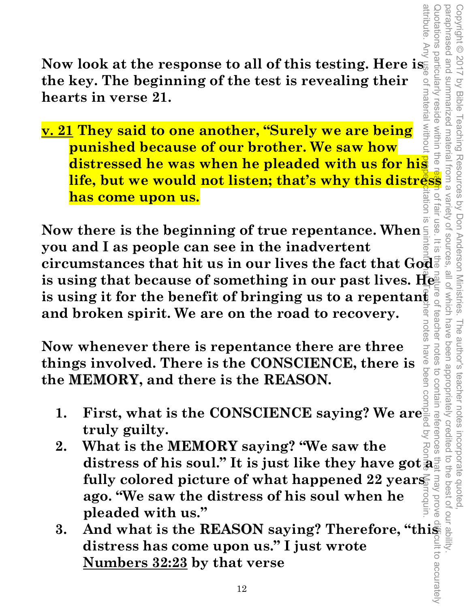Now look at the response to all of this testing. Here is **the key. The beginning of the test is revealing their hearts in verse 21.** 

of material withou reside within the **v. 21 They said to one another, "Surely we are being punished because of our brother. We saw how distressed he was when he pleaded with us for his life, but we would not listen; that's why this distress has come upon us.**  fair use

attribute. Any use of material without pape<mark>ric</mark>itation is unintentional. Teacher notes have been compiled by Ronnie Marroquin. **Now there is the beginning of true repentance. When you and I as people can see in the inadvertent**  circumstances that hit us in our lives the fact that God<sup>#</sup> **is using that because of something in our past lives. He is using it for the benefit of bringing us to a repentant and broken spirit. We are on the road to recovery.**  notes

Copyright © 2017 by Bible Teaching Resources by Don Anderson Ministries. The author's teacher notes incorporate quoted,

The author's teacher notes

been appropriately credited

have been

Teaching Resources by Don Anderson Ministries.

paraphrased and summarized material from a variety of sources, all of which have been appropriately credited to the best of our ability.

f which have teache

all of

Variety of sources

 $\overline{\omega}$ 

attribute.

paraphrased and summarized material

Vinciations particularly

Copyright © 2017

by Bible

**Now whenever there is repentance there are three**  things involved. There is the **CONSCIENCE**, there is **the MEMORY, and there is the REASON.** 

- 1. First, what is the CONSCIENCE saying? We are **truly guilty.**   $\overline{Q}$
- Quotations particularly reside within the realm of fair use. It is the nature of teacher notes to contain references that may prove difficult to accurately notes to contain references 2. What is the MEMORY saying? "We saw the distress of his soul." It is just like they have got a<sup>5</sup> **fully colored picture of what happened 22 years**  may prove **ago. "We saw the distress of his soul when he pleaded with us."**
- **3.** And what is the REASON saying? Therefore, "this **distress has come upon us." I just wrote Numbers 32:23 by that verse**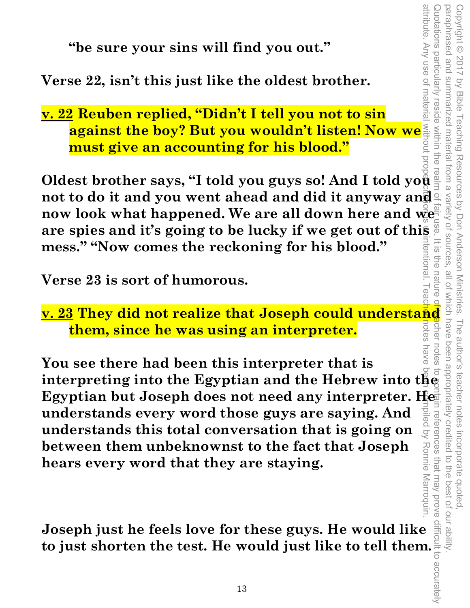**"be sure your sins will find you out."** 

**Verse 22, isn't this just like the oldest brother.** 

**v. 22 Reuben replied, "Didn't I tell you not to sin against the boy? But you wouldn't listen! Now we must give an accounting for his blood."** 

attribute. Any use of material without proper citation is unintentional. Teacher notes have been compiled by Ronnie Marroquin. **Oldest brother says, "I told you guys so! And I told you not to do it and you went ahead and did it anyway and now look what happened. We are all down here and we are spies and it's going to be lucky if we get out of this mess." "Now comes the reckoning for his blood." rentiona** 

Copyright © 2017 by Bible Teaching Resources by Don Anderson Ministries. The author's teacher notes incorporate quoted,

The author's teacher notes

been appropriately credited

notes

n references that may prove

i incorporate quoted,<br>redited to the best of our ability

Copyright © 2017 by Bible Teaching Resources by Don Anderson Ministries.

summarized material from a

paraphrased and summarized material from a variety of sources, all of which have been appropriately credited to the best of our ability.

Variety of sources

 $\overline{\omega}$ FIG<br>O

attribute. Any use of materia

Vinciations particularly

paraphrased and

**Verse 23 is sort of humorous.** 

Verse 23 is sort of humorous.<br> **v. 23 They did not realize that Joseph could understand**<br> **<u>them, since he was using an interpreter.</u><br>
Them, since he was using an interpreter.** cher **them, since he was using an interpreter.**  iotes

**You see there had been this interpreter that is interpreting into the Egyptian and the Hebrew into the Egyptian but Joseph does not need any interpreter. He understands every word those guys are saying. And understands this total conversation that is going on between them unbeknownst to the fact that Joseph**  Ronnie Marroquin **hears every word that they are staying.** 

**Joseph just he feels love for these guys. He would like to just shorten the test. He would just like to tell them.**<br> **to just shorten the test. He would just like to tell them.**<br>
<sup>13</sup> Quotations particularly reside within the realm of fair use. It is the nature of tescher notes to contain references that may prove difficult to accurately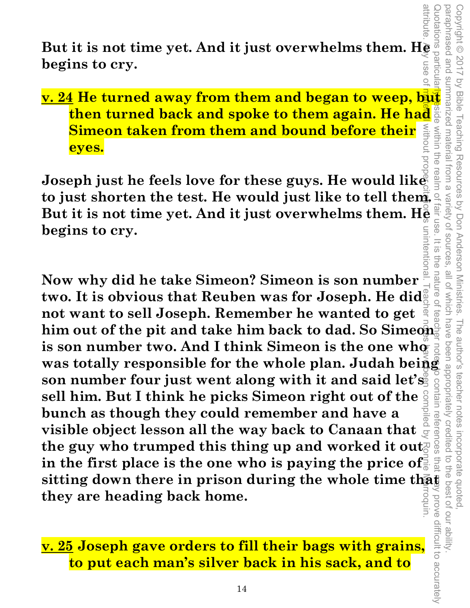**But it is not time yet. And it just overwhelms them. He added**<br>begins to cry. **begins to cry.** 

# **v. 24 He turned away from them and began to weep, but <br>
then turned back and spoke to them again. He had a spoke straight<br>
Simeon taken from them and bound before their<br>
eyes. then turned back and spoke to them again. He had Simeon taken from them and bound before their eyes.**

**Joseph just he feels love for these guys. He would like to just shorten the test. He would just like to tell them. But it is not time yet. And it just overwhelms them. He begins to cry.** 

**Now why did he take Simeon? Simeon is son number**  two. It is obvious that Reuben was for Joseph. He did<sup>&</sup> **not want to sell Joseph. Remember he wanted to get him out of the pit and take him back to dad. So Simeon**  is son number two. And I think Simeon is the one who was totally responsible for the whole plan. Judah being **son number four just went along with it and said let's sell him. But I think he picks Simeon right out of the bunch as though they could remember and have a visible object lesson all the way back to Canaan that**  the guy who trumped this thing up and worked it out **in the first place is the one who is paying the price of sitting down there in prison during the whole time that they are heading back home.**  attribute. Any use of material without proper citation is unintentional. Teacher notes have been compiled by Ronnie Marroquin.

**v. 25 Joseph gave orders to fill their bags with grains, to put each man's silver back in his sack, and to**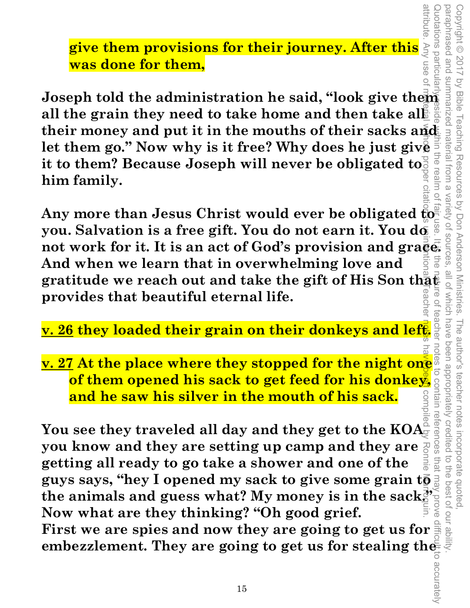**give them provisions for their journey. After this was done for them,** 

**Joseph told the administration he said, "look give them all the grain they need to take home and then take allet their money and put it in the mouths of their sacks and let them go." Now why is it free? Why does he just give it to them? Because Joseph will never be obligated to. him family.** 

**Any more than Jesus Christ would ever be obligated to you. Salvation is a free gift. You do not earn it. You do**  Any more than Jesus Christ would ever be obligated  $\overline{\mathbf{g}}_{\overline{\mathbf{g}}_{\overline{\mathbf{g}}}}^{\overline{\mathbf{g}}_{\overline{\mathbf{g}}_{\overline{\mathbf{g}}}}^{\mathbf{g}}$ <br>you. Salvation is a free gift. You do not earn it. You do<br>not work for it. It is an act of God's pro **And when we learn that in overwhelming love and gratitude we reach out and take the gift of His Son that provides that beautiful eternal life.**  Quotations particularly reside within the realm of fair use. It is the nature of teacher notes to contain references that may prove difficult to accurately attribute. Any use of material without proper citation is unintentional. Teacher notes have been compiled by Ronnie Marroquin.

Copyright © 2017 by Bible Teaching Resources by Don Anderson Ministries. The author's teacher notes incorporate quoted,

The author's teacher notes

incorporate quoted

been appropriately creditec

all of Which have

by Bible Teaching Resources by Don Anderson Ministries

 $\overline{O}$ 

pue pesenderaco Copyright © 2017

summarized material from a

uotations particula

**v. 26 they loaded their grain on their donkeys and left.** 

**v. 27 At the place where they stopped for the night one of them opened his sack to get feed for his donkey, and he saw his silver in the mouth of his sack.** 

You see they traveled all day and they get to the KOA<sup>2</sup> **you know and they are setting up camp and they are**  s that **getting all ready to go take a shower and one of the guys says, "hey I opened my sack to give some grain to** the animals and guess what? My money is in the sack<u>e</u> **Now what are they thinking? "Oh good grief.** 

**First we are spies and now they are going to get us for embezzlement. They are going to get us for stealing the**  paraphrased and summarized material from a variety of sources, all of which have been appropriately credited to the best of our ability.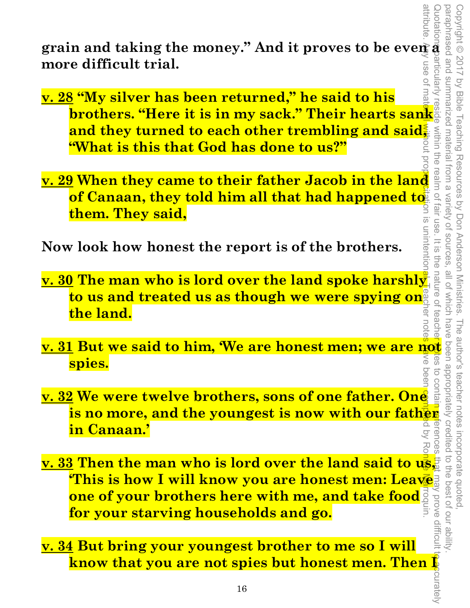grain and taking the money." And it proves to be even  $\vec{a}$ **more difficult trial.** 

- **v. 28 "My silver has been returned," he said to his brothers. "Here it is in my sack." Their hearts sank and they turned to each other trembling and said.<br>
<b>brothers. "Here it is in my sack." Their hearts sank and they turned to each other trembling and said.**<br> **Exploritio and they turned to each other trembling and said. "What is this that God has done to us?"**  attribute. Any use of material without propertion is unintentional. Teacher notes 中ve been computed by Ronnie Marroquin.
- **v. 29 When they came to their father Jacob in the land of Canaan, they told him all that had happened to**  $rac{1}{3}$ **them. They said,**

**Now look how honest the report is of the brothers.** 

- **v. 30 The man who is lord over the land spoke harshly**  to us and treated us as though we were spying on<sup>®</sup> ಸ **the land.**  note
- **spies.**
- **v. 31 But we said to him, 'We are honest men; we are not**<br> **spies.**<br> **v. 32 We were twelve brothers, sons of one father. One**<br> **is no more, and the youngest is now with our father**<br> **in Canaan.'**<br> **in Canaan.' v. 32 We were twelve brothers, sons of one father. One is no more, and the youngest is now with our father in Canaan.'**
- **v. 33 Then the man who is lord over the land said to us, 'This is how I will know you are honest men: Leave one of your brothers here with me, and take food for your starving households and go.**
- **v. 34 But bring your youngest brother to me so I will know that you are not spies but honest men. Then I**

unintention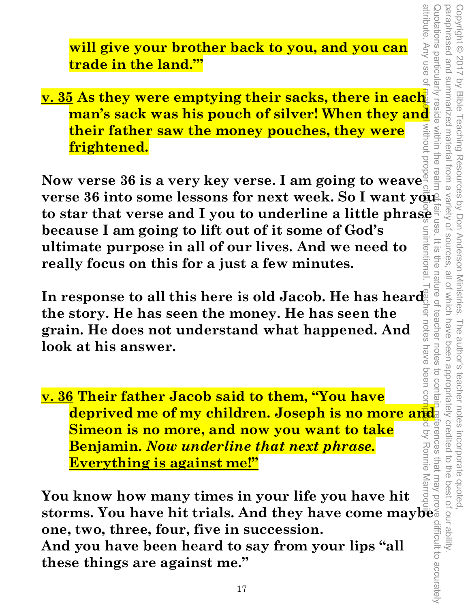Quotations particularly reside within the realm of fair use. It is the nature of teacher notes to contain references that may prove difficult to accurately paraphrased and summarized material from a paraphrased and summarized material from a variety of sources, all of which have been appropriately credited to the best of our ability. Copyright © 2017 by Bible Teaching Resources by Don Anderson Ministries. The author's teacher notes incorporate quoted, Copyright © 2017 by Bible Teaching Resources by Don Anderson Ministries. wotations particularly variety of sources  $rac{1}{\sqrt{2}}$ ine nature of all of which have reacher The author's teacher notes incorporate quoted,<br>have been appropriately credited to the best of our ability

attribute. Any use of

**will give your brother back to you, and you can trade in the land.'"** 

**v. 35 As they were emptying their sacks, there in each Example 12 As they were emptying their sacks, there in each and man's sack was his pouch of silver! When they and**  $\frac{2}{3}$  **their father saw the money pouches, they were frightened.**<br>**Frightened.**<br>Werse 36 is a very key v **their father saw the money pouches, they were frightened. Example 12 is their father saw the money pouches, they were<br><b>Prightened.**<br>Now verse 36 is a very key verse. I am going to weave

attribute. Any use of material without proper citation is unintentional. Teacher notes have been compiled by Ronnie Marroquin. **verse 36 into some lessons for next week. So I want your** to star that verse and I you to underline a little phrase **that**<br>because I am going to lift out of it some of God's **because I am going to lift out of it some of God's**  unintentiona **ultimate purpose in all of our lives. And we need to really focus on this for a just a few minutes.** 

In response to all this here is old Jacob. He has heard *RET NOTBS* **the story. He has seen the money. He has seen the grain. He does not understand what happened. And look at his answer.** 

**v. 36 Their father Jacob said to them, "You have deprived me of my children. Joseph is no more and Simeon is no more, and now you want to take Benjamin.** *Now underline that next phrase.*  **Everything is against me!"**

**You know how many times in your life you have hit storms. You have hit trials. And they have come maybe one, two, three, four, five in succession. And you have been heard to say from your lips "all these things are against me."**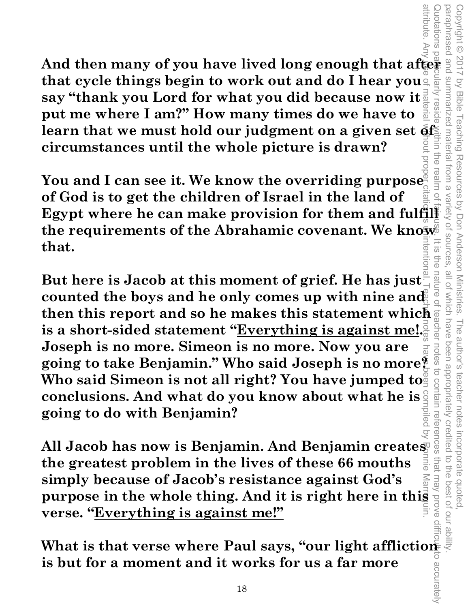**And then many of you have lived long enough that after that cycle things begin to work out and do I hear you say "thank you Lord for what you did because now it put me where I am?" How many times do we have to**  learn that we must hold our judgment on a given set of **circumstances until the whole picture is drawn?** 

Quotations particularly reside within the realm of fair use. It is the nature of teacher notes to contain references that may prove difficult to accurately realn **You and I can see it. We know the overriding purpose of God is to get the children of Israel in the land of Egypt where he can make provision for them and fulfill the requirements of the Abrahamic covenant. We know that.**   $\overline{\omega}$ aut<br>a

Copyright © 2017 by Bible Teaching Resources by Don Anderson Ministries. The author's teacher notes incorporate quoted,

Resources by Don Anderson Ministries.

Copyright © 2017

**SUMMARIZED** by Bible

materia

Trom a

vanety

ot sources

all of

**Mhich** 

nave

notes

to contain references

that

Credi

incorporate quoted,<br>edited to the best of our ab

The author's teacher notes been appropriately

Teaching

uotations

**But here is Jacob at this moment of grief. He has just**  counted the boys and he only comes up with nine and **then this report and so he makes this statement which is a short-sided statement "Everything is against me!. Joseph is no more. Simeon is no more. Now you are going to take Benjamin." Who said Joseph is no more?**  Who said Simeon is not all right? You have jumped to **conclusions. And what do you know about what he is going to do with Benjamin?**  attribute. Any use of material without proper citation is unintentional. Teacher notes have been compiled by Ronnie Marroquin.

**All Jacob has now is Benjamin. And Benjamin creates the greatest problem in the lives of these 66 mouths simply because of Jacob's resistance against God's purpose in the whole thing. And it is right here in this purpose in the whole thing. And it is right here in this proper verse. "Everything is against me!" verse. "Everything is against me!"**

**What is that verse where Paul says, "our light affliction"**<br>is but for a moment and it works for us a far more **is but for a moment and it works for us a far more**  paraphrased and summarized material from a variety of sources, all of which have been appropriately credited to the best of our ability.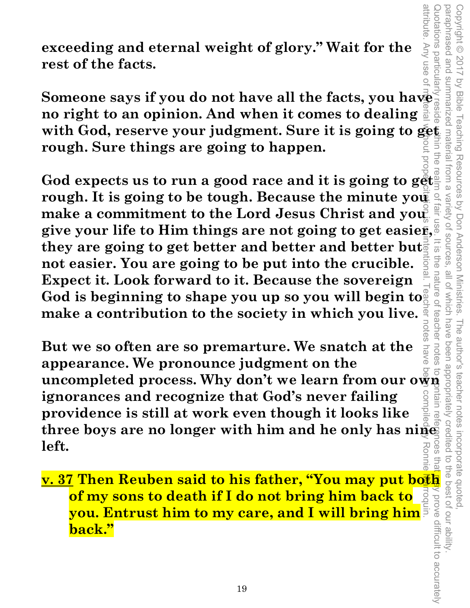Quotations particularly reside within the realm of fair use. It is the nature of teacher notes to contain references that may prove difficult to accurately paraphrased and paraphrased and summarized material from a variety of sources, all of which have been appropriately credited to the best of our ability. Copyright © 2017 by Bible Teaching Resources by Don Anderson Ministries. The author's teacher notes incorporate quoted, Copyright © 2017 by Bible summarized material from a Teaching Resources by Don Anderson Ministries. in the Variety of sources  $\overline{5}$ FD<sub>0</sub> all of which have teacher notes The author's teacher notes s that y prove difficult to accurately

attribute.

Any use o

**exceeding and eternal weight of glory." Wait for the rest of the facts. EXCED SOMEONE SAMPLE AND MULTER SERVING A SURFERING AND RELEASE SCHOOLS AND RELEASE SCHOOLS AND SURFERING SURFERING A SURFERING SURFERING A SURFERING SURFERING A SURFERING SURFERING A SURFERING SURFERING A SURFERING A SUR** 

**no right to an opinion. And when it comes to dealing with God, reserve your judgment. Sure it is going to get rough. Sure things are going to happen.** 

God expects us to run a good race and it is going to get. **rough. It is going to be tough. Because the minute you all as** make a commitment to the Lord Jesus Christ and you **give your life to Him things are not going to get easier, they are going to get better and better and better but. not easier. You are going to be put into the crucible. Expect it. Look forward to it. Because the sovereign**  God is beginning to shape you up so you will begin to  $\frac{1}{6}$ **make a contribution to the society in which you live.**  attribute. Any use of material without proper citation is unintentional. Teacher notes have been compiled by Ronnie Marroquin.

notes But we so often are so premarture. We snatch at the  $\frac{2}{3}$  appearance. We pronounce judgment on the uncompleted process. Why don't we learn from our own  $\frac{2}{9}$  a specific ignorances and recognize that God's never fa **But we so often are so premarture. We snatch at the**  nave **appearance. We pronounce judgment on the ignorances and recognize that God's never failing providence is still at work even though it looks like three boys are no longer with him and he only has nine left.**  Ronnie

**under with him and he only has ningle set to left.**<br> **left.**<br> **v. 37 Then Reuben said to his father, "You may put both**  $\frac{1}{2}$  **and**  $\frac{1}{2}$  **are also<br>
of my sons to death if I do not bring him back to a set of**  $\frac{1}{2}$ **of my sons to death if I do not bring him back to you. Entrust him to my care, and I will bring him back."**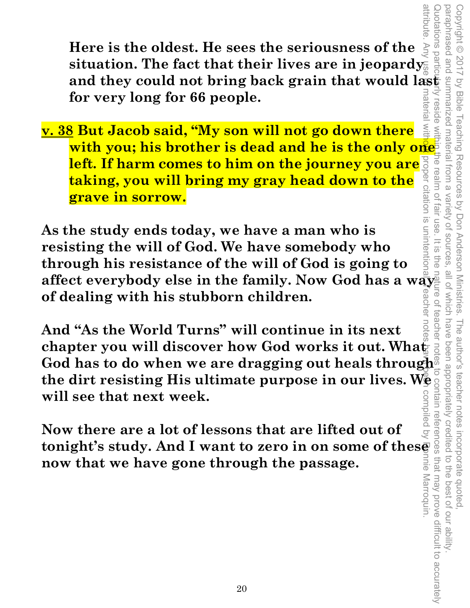**Here is the oldest. He sees the seriousness of the situation. The fact that their lives are in jeopardy and they could not bring back grain that would last for very long for 66 people.** 

**v. 38 But Jacob said, "My son will not go down there with you; his brother is dead and he is the only one left. If harm comes to him on the journey you are taking, you will bring my gray head down to the grave in sorrow.** 

**As the study ends today, we have a man who is resisting the will of God. We have somebody who through his resistance of the will of God is going to affect everybody else in the family. Now God has a way of dealing with his stubborn children.** 

**And "As the World Turns" will continue in its next chapter you will discover how God works it out. Wha** $\breve{\mathbf{g}}$ **God has to do when we are dragging out heals through the dirt resisting His ultimate purpose in our lives. We will see that next week.**  attribute. Any use **of material without** proper citation is unintentional. Teacher notes have been compiled by Ronnie Marroquin.

compiled by **Now there are a lot of lessons that are lifted out of tonight's study. And I want to zero in on some of these now that we have gone through the passage.**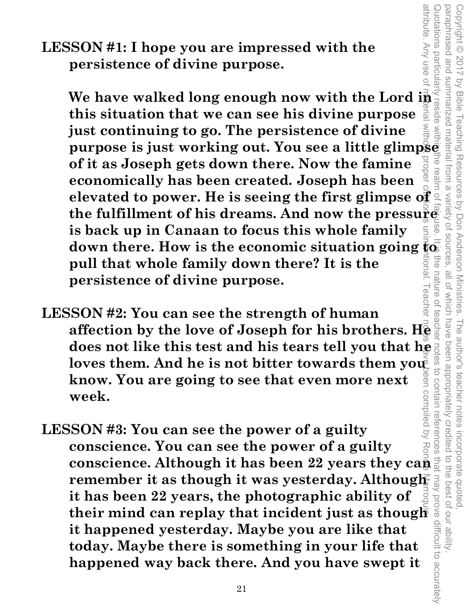**LESSON #1: I hope you are impressed with the persistence of divine purpose.** 

attribute. Any use of material without proper citation is unintentional. Teacher notes have been compiled by Ronnie Marroquin. **SSON #1: I hope you are impressed with the**<br>
persistence of divine purpose.<br>
We have walked long enough now with the Lord is a set<br>
this situation that we can see his divine purpose  $\frac{1}{\sin \theta}$ **this situation that we can see his divine purpose just continuing to go. The persistence of divine purpose is just working out. You see a little glimpse of it as Joseph gets down there. Now the famine economically has been created. Joseph has been elevated to power. He is seeing the first glimpse of the fulfillment of his dreams. And now the pressure is back up in Canaan to focus this whole family**  down there. How is the economic situation going **to**<br>pull that whole family down there? It is the **Enoll pull that whole family down there? It is the persistence of divine purpose.** 

Copyright © 2017 by Bible Teaching Resources by Don Anderson Ministries. The author's teacher notes incorporate quoted,

The author's teacher notes

been appropriately creditec

incorporate quoted,<br>edited to the best of our ability

to contain references

Teaching Resources by Don Anderson Ministries

paraphrased and summarized material from a variety of sources, all of which have been appropriately credited to the best of our ability.

all of Which have

variety of sources

Quotations particularly reside within the realm of fair use. It is the nature of teacher notes to contain references that may prove difficult to accurately

nature

attribute. Any use o

paraphrased and Copyright © 2017

summarized material from a

rea

by Bible

- **LESSON #2: You can see the strength of human affection by the love of Joseph for his brothers. He does not like this test and his tears tell you that he allower them you allow a** loves them. And he is not bitter towards them you **know. You are going to see that even more next**  compiled by **week.**
- **LESSON #3: You can see the power of a guilty conscience. You can see the power of a guilty conscience. Although it has been 22 years they can remember it as though it was yesterday. Although it has been 22 years, the photographic ability of their conscience.** Although it has been 22 years they can remember it as though it was yesterday. Although it has been 22 years, the photographic ability of their mind can replay that incident just as though it happened **it happened yesterday. Maybe you are like that today. Maybe there is something in your life that happened way back there. And you have swept it**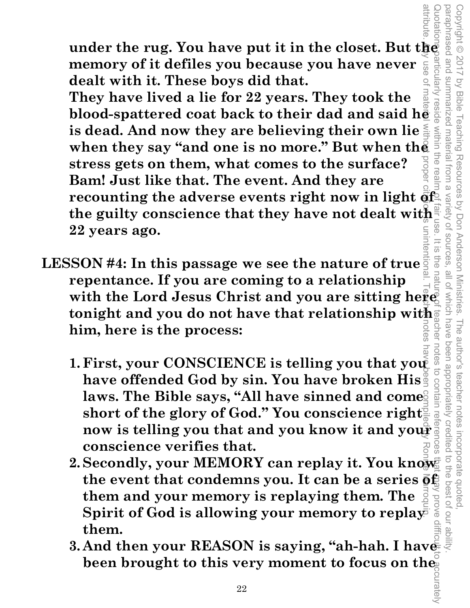**under the rug. You have put it in the closet. But the memory of it defiles you because you have never**  $\sum_{\substack{a \text{odd} \text{odd} \\ \text{odd} \\ \text{odd}}}$  **dealt with it. These boys did that. memory of it defiles you because you have never dealt with it. These boys did that.** 

**They have lived a lie for 22 years. They took the blood-spattered coat back to their dad and said he is dead. And now they are believing their own lie**  when they say "and one is no more." But when the **stress gets on them, what comes to the surface? Bam! Just like that. The event. And they are recounting the adverse events right now in light of the guilty conscience that they have not dealt with 22 years ago.**  attribute. Any use of material without proper citation is unintentional. Teacher center is a second of the Marroquing Marroquin.

Copyright © 2017 by Bible Teaching Resources by Don Anderson Ministries. The author's teacher notes incorporate quoted,

Resources by Don Anderson Ministries

pue paseu que Copyright © 2017

summarized material

trom a

Variety of sources

**all 01** 

**Uave** 

been appropriately credited

The author's teacher notes

 $\overline{\omega}$ 

within

The rea

by Bible

Teaching

- **LESSON #4: In this passage we see the nature of true repentance. If you are coming to a relationship**  with the Lord Jesus Christ and you are sitting here<sup>1</sup> **tonight and you do not have that relationship with him, here is the process:** 
	- notes **1. First, your CONSCIENCE is telling you that you**  to contair **have offended God by sin. You have broken His**  laws. The Bible says, "All have sinned and come **short of the glory of God." You conscience right now is telling you that and you know it and your conscience verifies that.**
- $2.\,$  Secondly, your MEMORY can replay it. You know  $\vec x$ the event that condemns you. It can be a series  $\bar{\mathbf{\mathfrak{g}}}\mathbf{f}$ **them and your memory is replaying them. The Spirit of God is allowing your memory to replay them.**  Quotations particularly reside within the realm of fair use. It is the nature of teacher notes to contain references that  $\boldsymbol{m}$ ay prove difficult to accurately
- **3.And then your REASON is saying, "ah-hah. I have been brought to this very moment to focus on the**  paraphrased and summarized material from a variety of sources, all of which have been appropriately credited to the best of our ability.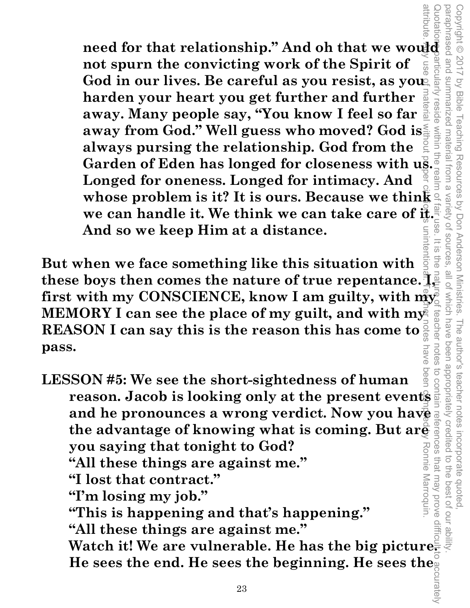**need for that relationship." And oh that we would also also not spurn the convicting work of the Spirit of**  $\frac{2}{5}$ **not spurn the convicting work of the Spirit of**  God in our lives. Be careful as you resist, as you **harden your heart you get further and further away. Many people say, "You know I feel so far away from God." Well guess who moved? God is always pursing the relationship. God from the away from God." Well guess who moved? God is...**<br>always pursing the relationship. God from the<br>Garden of Eden has longed for closeness with us... **Longed for oneness. Longed for intimacy. And whose problem is it? It is ours. Because we think we can handle it. We think we can take care of**  $\frac{3}{16}$ **.**<br>And so we keep Him at a distance. **And so we keep Him at a distance.**  attribute. Any use of material without proper citation of compiled by Roman Teacher centribute with  $\alpha$  and  $\alpha$  and  $\alpha$  and  $\alpha$  and  $\alpha$  and  $\alpha$  and  $\alpha$  and  $\alpha$  and  $\alpha$  and  $\alpha$  and  $\alpha$  and  $\alpha$  and  $\alpha$  and  $\alpha$ 

Copyright © 2017 by Bible Teaching Resources by Don Anderson Ministries. The author's teacher notes incorporate quoted,

Teaching Resources by Don Anderson Ministries.

Copyright © 2017

by Bible

articularly

**resid** 

summarized material from a

paraphrased and summarized material from a variety of sources, all of which have been appropriately credited to the best of our ability.

Which have eachel

notes

The author's teacher notes

been appropriately credited

incorporate quoted,<br>edited to the best of our ab

Variety of sources

 $\overline{\omega}$ 

**But when we face something like this situation with these boys then comes the nature of true repentance. I,**  first with my CONSCIENCE, know I am guilty, with my **MEMORY I can see the place of my guilt, and with my REASON I can say this is the reason this has come to pass. BVG** 

Quotations particularly reside within the realm of fair use. It is the nature of teacher notes to contain references that may prove difficult to accurately  $\overrightarrow{O}$ **LESSON #5: We see the short-sightedness of human**  *reason. Jacob is looking only at the present events* $\frac{8}{9}$  **reason. Jacob is looking only at the present events** and he pronounces a wrong verdict. Now you have<br>the advantage of knowing what is coming. But are **property** you saying that tonight to God? **the advantage of knowing what is coming. But are you saying that tonight to God?**  Ronne Marroquin. **"All these things are against me." "I lost that contract." "I'm losing my job." "This is happening and that's happening." "All these things are against me." Watch it! We are vulnerable. He has the big picture. He sees the end. He sees the beginning. He sees the**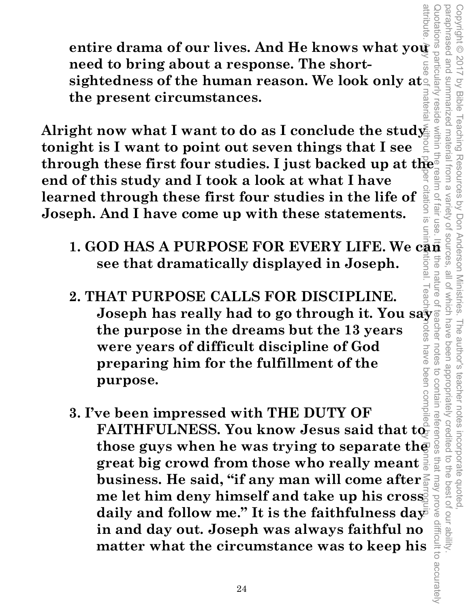**entire drama of our lives. And He knows what you need to bring about a response. The shortsightedness of the human reason. We look only at the present circumstances.** 

**1. GOD HAS A PURPOSE FOR EVERY LIFE. We can be seen that dynamically displayed in Joseph.**<br>
1. GOD HAS A PURPOSE FOR EVERY LIFE. We see that dramatically displayed in a series of the set of the internal conclude the study **Alright now what I want to do as I conclude the study tonight is I want to point out seven things that I see through these first four studies. I just backed up at the end of this study and I took a look at what I have**  citation **learned through these first four studies in the life of Joseph. And I have come up with these statements.**   $\overline{5}$ 

**see that dramatically displayed in Joseph.** 

Copyright © 2017 by Bible Teaching Resources by Don Anderson Ministries. The author's teacher notes incorporate quoted,

The author's teacher notes

been appropriately credited

incorporate quoted,<br>edited to the best of our ability

Teaching Resources by Don Anderson Ministries.

Copyright © 2017 by Bible

paraphrased and summarized material from a variety of sources, all of which have been appropriately credited to the best of our ability.

**nature** 

notes

all of Which have

- **2. THAT PURPOSE CALLS FOR DISCIPLINE. Joseph has really had to go through it. You say the purpose in the dreams but the 13 years were years of difficult discipline of God preparing him for the fulfillment of the purpose.**
- attribute. Any use of material without proper citation is unintentional. Teacher notes have been compiled by Ronnie Marroquin. Quotations particularly reside within the realm of fair use. It is the nature of teacher notes to contain references that may prove difficult to accurately to contain references **3. I've been impressed with THE DUTY OF**   $\mathbf{FAITHFULNESS.}$  You know Jesus said that to **those guys when he was trying to separate the**  avoid vem tem **great big crowd from those who really meant business. He said, "if any man will come after me let him deny himself and take up his cross**  daily and follow me." It is the faithfulness day<sup>-</sup> difficult to accurately **in and day out. Joseph was always faithful no matter what the circumstance was to keep his**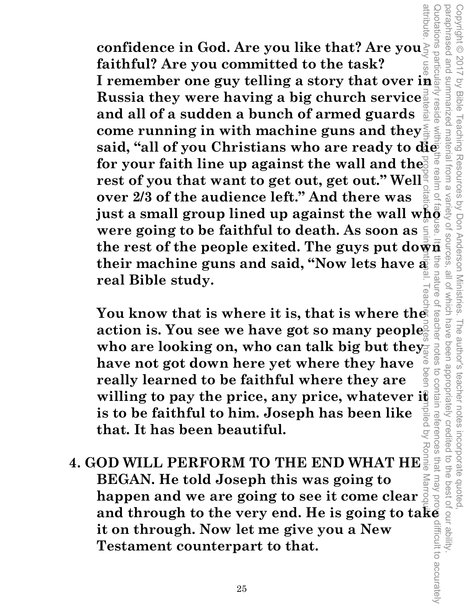attribute. Any use **of material without proper citationals** unintentional. Teacher notes have been compiled by Ronnie Marroqu**in** Quotations particularly reside within the realm of fain of fainse. It is the nature of teacher notes to contain references that may prove difficult to accurately **confidence in God. Are you like that? Are you faithful? Are you committed to the task? I remember one guy telling a story that over in Russia they were having a big church service Lesld and all of a sudden a bunch of armed guards come running in with machine guns and they said, "all of you Christians who are ready to die for your faith line up against the wall and the rest of you that want to get out, get out." Well over 2/3 of the audience left." And there was just a small group lined up against the wall who**  were going to be faithful to death. As soon as  $\frac{2}{3}$   $\frac{8}{3}$  the rest of the people exited. The guys put down  $\frac{2}{3}$   $\frac{2}{3}$  from their machine guns and said "Now lets have  $\frac{2}{3}$ **were going to be faithful to death. As soon as**  the<br>e **their machine guns and said, "Now lets have a**  nature **real Bible study.** 

Copyright © 2017 by Bible Teaching Resources by Don Anderson Ministries. The author's teacher notes incorporate quoted,

The author's teacher notes

been appropriately credited

Teaching Resources by Don Anderson Ministries.

paraphrased and summarized material from a variety of sources, all of which have been appropriately credited to the best of our ability.

all of Which have

 $\circ$ 

teache

notes

paraphrased and summarized material from a

Copyright © 2017 by Bible

You know that is where it is, that is where the **action is. You see we have got so many people**  who are looking on, who can talk big but they **have not got down here yet where they have really learned to be faithful where they are willing to pay the price, any price, whatever it is to be faithful to him. Joseph has been like that. It has been beautiful.** 

**4. GOD WILL PERFORM TO THE END WHAT HE BEGAN. He told Joseph this was going to happen and we are going to see it come clear and through to the very end. He is going to take it on through. Now let me give you a New Testament counterpart to that.**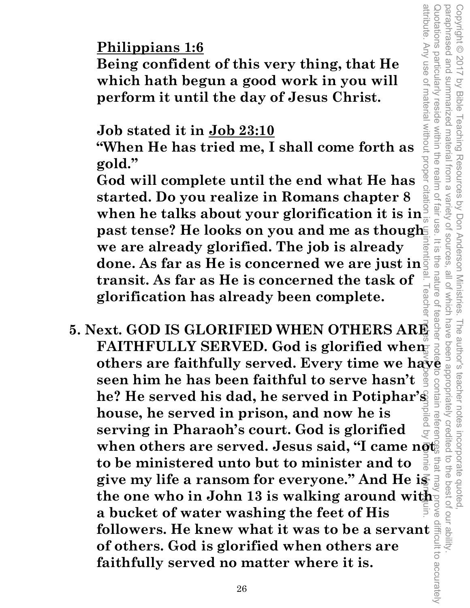## **Philippians 1:6**

**Being confident of this very thing, that He which hath begun a good work in you will perform it until the day of Jesus Christ.** 

#### **Job stated it in Job 23:10**

**"When He has tried me, I shall come forth as gold."** 

**God will complete until the end what He has started. Do you realize in Romans chapter 8 Philippians 1:6**<br>
Being confident of this very thing, that He<br>
which hath begun a good work in you will<br>
perform it until the day of Jesus Christ.<br>
Job stated it in Job 23:10<br>
"When He has tried me, I shall come forth as **past tense? He looks on you and me as though we are already glorified. The job is already done. As far as He is concerned we are just in transit. As far as He is concerned the task of glorification has already been complete.** 

Copyright © 2017 by Bible Teaching Resources by Don Anderson Ministries. The author's teacher notes incorporate quoted,

The author's teacher notes

incorporate quoted  $\overline{a}$ 

the best of our ability

Teaching Resources by Don Anderson Ministries.

paraphrased and summarized material from a variety of sources, all of which have been appropriately credited to the best of our ability.

all of Which have

Variety of sources

 $\frac{1}{10}$ 

nature of

ಸ

Quotations particularly

paraphrased and

summarized material from a

reside within the realm of fair use

Copyright © 2017 by Bible

attribute. Any use of material without proper citation is unintentional. Teacher notes have been compiled by Ronnie Marroquin. Quotations particularly reside within the realm of fair use. It is the nature of teacher note to contain references that may prove difficult to accurately **5. Next. GOD IS GLORIFIED WHEN OTHERS ARE FAITHFULLY SERVED.** God is glorified when others are faithfully served. Every time we have a seen him he has been faithful to serve hasn't  $\frac{9}{9}$  or seen him he has been faithful to serve hasn't  $\frac{9}{9}$  or served in **FAITHFULLY SERVED. God is glorified when**  $\overline{a}$ **seen him he has been faithful to serve hasn't he? He served his dad, he served in Potiphar's house, he served in prison, and now he is serving in Pharaoh's court. God is glorified**  when others are served. Jesus said, "I came n<del>ot  $\phi$ </del> that ma **to be ministered unto but to minister and to give my life a ransom for everyone." And He is the one who in John 13 is walking around with a bucket of water washing the feet of His followers. He knew what it was to be a servant of others. God is glorified when others are faithfully served no matter where it is. of others. God is glorified when others are faithfully served no matter where it is.**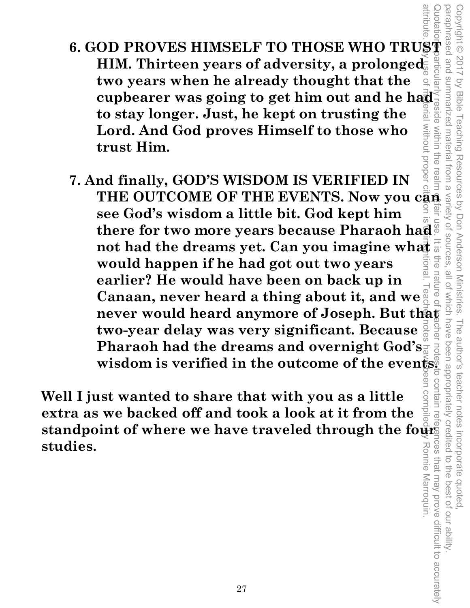- attribute **6. GOD PROVES HIMSELF TO THOSE WHO TRUST**   $\boldsymbol{\text{HIM.}}$  Thirteen years of adversity, a prolonged **two years when he already thought that the cupbearer was going to get him out and he haddlern to stay longer. Just, he kept on trusting the**  $\frac{1}{100}$  and Lord. And God proves Himself to those who trust Him. **to stay longer. Just, he kept on trusting the**   $\overline{a}$ **Lord. And God proves Himself to those who trust Him.**
- **7. And finally, GOD'S WISDOM IS VERIFIED IN**  THE OUTCOME OF THE EVENTS. Now you can **see God's wisdom a little bit. God kept him there for two more years because Pharaoh had not had the dreams yet. Can you imagine what would happen if he had got out two years earlier? He would have been on back up in Canaan, never heard a thing about it, and we never would heard anymore of Joseph. But that**  $\vec{r}$  **two-year delay was very significant. Because**  $\frac{3}{8}$  $\frac{3}{8}$  $\frac{3}{8}$  $\frac{3}{8}$  $\frac{3}{8}$  $\frac{3}{8}$  $\frac{3}{8}$  $\frac{3}{8}$  $\frac{3}{8}$  $\frac{3}{8}$  $\frac{3}{8}$  $\frac{3}{8}$  **\ two-year delay was very significant. Because Pharaoh had the dreams and overnight God's**  wisdom is verified in the outcome of the events. attribute. Any use of material without proper citation is unintentional. Teacher notes have been compiled by Ronnie Marroquin.

**Well I just wanted to share that with you as a little extra as we backed off and took a look at it from the standpoint of where we have traveled through the fourg studies.** 

Quotations particularly reside within the realm of fair use. It is the nature of teacher notes to contain references that may prove difficult to accurately paraphrased and summarized material from a variety of sources, all of which have been appropriately credited to the best of our ability. Copyright © 2017 by Bible Teaching Resources by Don Anderson Ministries. The author's teacher notes incorporate quoted, Copyright © 2017 by Bible Teaching Resources by Don Anderson Ministries. all of which have nature che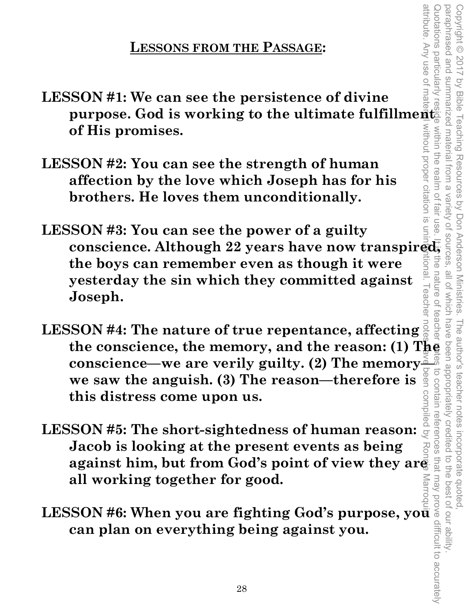#### **LESSONS FROM THE PASSAGE:**

- **LESSON #1: We can see the persistence of divine purpose. God is working to the ultimate fulfillment**  Without proper citation is **of His promises.**
- **LESSON #2: You can see the strength of human affection by the love which Joseph has for his brothers. He loves them unconditionally.**
- attribute. Any use of material without proper citation is unintentional. Teacher notes have been compiled by Ronnie Marroquin. Quotations particularly reside within the realm of fair use. It is the nature of teacher mites to contain references that may prove difficult to accurately **Tall USe LESSON #3: You can see the power of a guilty conscience. Although 22 years have now transpired,**  the **the boys can remember even as though it were**  nature of **yesterday the sin which they committed against**  eache **Joseph.**

Copyright © 2017 by Bible Teaching Resources by Don Anderson Ministries. The author's teacher notes incorporate quoted,

The author's teacher notes

incorporate quoted

to the best of our ability

Copyright © 2017 by Bible Teaching Resources by Don Anderson Ministries.

summarized material from a

within the realm of

paraphrased and summarized material from a variety of sources, all of which have been appropriately credited to the best of our ability.

all of Which have

teache

paraphrased and

- **LESSON #4: The nature of true repentance, affecting**  the conscience, the memory, and the reason: (1) The conscience—we are verily guilty. (2) The memory  $\frac{3}{4}$  we saw the anguish. (3) The reason—therefore is  $\frac{3}{8}$  or  $\frac{3}{8}$  we saw the anguish. (3) The reason—there **we saw the anguish. (3) The reason—therefore is this distress come upon us.**
- **conscience—we are verily guilty. (2) The memory**<br> **conscience—we are verily guilty. (2) The memory**<br> **constant this distress come upon us.**<br>
SSON #5: The short-sightedness of human reason:  $\frac{1}{2}$ <br>
sighting<br>
against him **LESSON #5: The short-sightedness of human reason: Jacob is looking at the present events as being against him, but from God's point of view they are all working together for good.**
- LESSON #6: When you are fighting God's purpose, yo<del>u</del> **can plan on everything being against you.**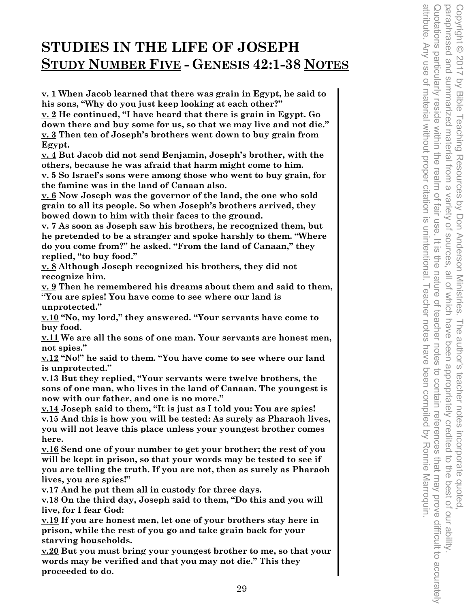# **STUDIES IN THE LIFE OF JOSEPH STUDY NUMBER FIVE - GENESIS 42:1-38 NOTES**

**v. 1 When Jacob learned that there was grain in Egypt, he said to his sons, "Why do you just keep looking at each other?"** 

**v. 2 He continued, "I have heard that there is grain in Egypt. Go down there and buy some for us, so that we may live and not die." v. 3 Then ten of Joseph's brothers went down to buy grain from Egypt.** 

**v. 4 But Jacob did not send Benjamin, Joseph's brother, with the others, because he was afraid that harm might come to him. v. 5 So Israel's sons were among those who went to buy grain, for** 

**the famine was in the land of Canaan also.** 

**v. 6 Now Joseph was the governor of the land, the one who sold grain to all its people. So when Joseph's brothers arrived, they bowed down to him with their faces to the ground.** 

**v. 7 As soon as Joseph saw his brothers, he recognized them, but he pretended to be a stranger and spoke harshly to them. "Where do you come from?" he asked. "From the land of Canaan," they replied, "to buy food."** 

**v. 8 Although Joseph recognized his brothers, they did not recognize him.** 

**v. 9 Then he remembered his dreams about them and said to them, "You are spies! You have come to see where our land is unprotected."** 

**v.10 "No, my lord," they answered. "Your servants have come to buy food.** 

**v.11 We are all the sons of one man. Your servants are honest men, not spies."** 

**v.12 "No!" he said to them. "You have come to see where our land is unprotected."** 

**v.13 But they replied, "Your servants were twelve brothers, the sons of one man, who lives in the land of Canaan. The youngest is now with our father, and one is no more."** 

**v.14 Joseph said to them, "It is just as I told you: You are spies! v.15 And this is how you will be tested: As surely as Pharaoh lives, you will not leave this place unless your youngest brother comes here.** 

**v.16 Send one of your number to get your brother; the rest of you will be kept in prison, so that your words may be tested to see if you are telling the truth. If you are not, then as surely as Pharaoh lives, you are spies!"** 

**v.17 And he put them all in custody for three days.** 

**v.18 On the third day, Joseph said to them, "Do this and you will live, for I fear God:** 

**v.19 If you are honest men, let one of your brothers stay here in prison, while the rest of you go and take grain back for your starving households.** 

**v.20 But you must bring your youngest brother to me, so that your words may be verified and that you may not die." This they proceeded to do.**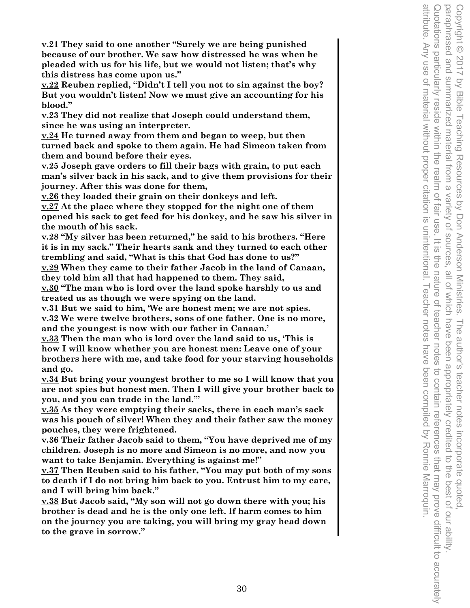**v.21 They said to one another "Surely we are being punished because of our brother. We saw how distressed he was when he pleaded with us for his life, but we would not listen; that's why this distress has come upon us."** 

**v.22 Reuben replied, "Didn't I tell you not to sin against the boy? But you wouldn't listen! Now we must give an accounting for his blood."** 

**v.23 They did not realize that Joseph could understand them, since he was using an interpreter.** 

**v.24 He turned away from them and began to weep, but then turned back and spoke to them again. He had Simeon taken from them and bound before their eyes.** 

**v.25 Joseph gave orders to fill their bags with grain, to put each man's silver back in his sack, and to give them provisions for their journey. After this was done for them,** 

**v.26 they loaded their grain on their donkeys and left.** 

**v.27 At the place where they stopped for the night one of them opened his sack to get feed for his donkey, and he saw his silver in the mouth of his sack.** 

**v.28 "My silver has been returned," he said to his brothers. "Here it is in my sack." Their hearts sank and they turned to each other trembling and said, "What is this that God has done to us?" v.29 When they came to their father Jacob in the land of Canaan,** 

**they told him all that had happened to them. They said,** 

**v.30 "The man who is lord over the land spoke harshly to us and treated us as though we were spying on the land.** 

**v.31 But we said to him, 'We are honest men; we are not spies. v.32 We were twelve brothers, sons of one father. One is no more, and the youngest is now with our father in Canaan.'** 

**v.33 Then the man who is lord over the land said to us, 'This is how I will know whether you are honest men: Leave one of your brothers here with me, and take food for your starving households and go.** 

**v.34 But bring your youngest brother to me so I will know that you are not spies but honest men. Then I will give your brother back to you, and you can trade in the land.'"** 

**v.35 As they were emptying their sacks, there in each man's sack was his pouch of silver! When they and their father saw the money pouches, they were frightened.** 

**v.36 Their father Jacob said to them, "You have deprived me of my children. Joseph is no more and Simeon is no more, and now you want to take Benjamin. Everything is against me!"** 

**v.37 Then Reuben said to his father, "You may put both of my sons to death if I do not bring him back to you. Entrust him to my care, and I will bring him back."** 

**v.38 But Jacob said, "My son will not go down there with you; his brother is dead and he is the only one left. If harm comes to him on the journey you are taking, you will bring my gray head down to the grave in sorrow."**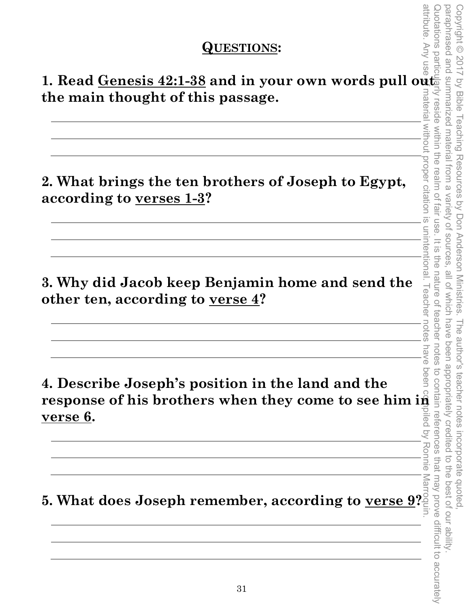#### **QUESTIONS:**

1. Read <u>Genesis 42:1-38</u> and in your own words pull out **the main thought of this passage.** 

**2. What brings the ten brothers of Joseph to Egypt, according to verses 1-3?** 

**3. Why did Jacob keep Benjamin home and send the other ten, according to verse 4?** 

**4. Describe Joseph's position in the land and the response of his brothers when they come to see him in verse 6.** 

**5. What does Joseph remember, according to verse 9?** 

attribute. Any use of material without proper citation is unintentional. Teacher notes have been compiled by Ronnie Marroquin. Quotations particularly reside within the realm of fair use. It is the nature of teacher notes to contain references that may prove difficult to accurately paraphrased and summarized material from a paraphrased and summarized material from a variety of sources, all of which have been appropriately credited to the best of our ability. Copyright © 2017 by Bible Teaching Resources by Don Anderson Ministries. The author's teacher notes incorporate quoted, Copyright © 2017 by Bible Teaching Resources by Don Anderson Ministries. rena reside without proper citation is within the realm of Variety of sources fair use unintentional.  $=$   $\frac{1}{2}$ ine nature of all of which have **Leacher** teacher The author's teacher notes incorporate quoted,<br>have been appropriately credited to the best of our ability notes notes nave Deen Ronnie that may prove difficult to accurately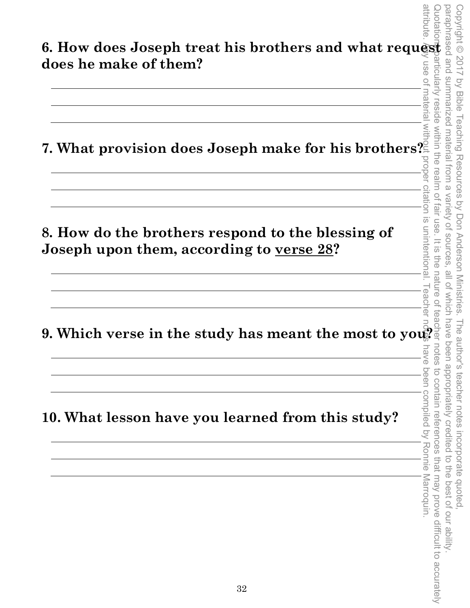|                                                                                                       |    | <u>ත්</u>                                                                                           |
|-------------------------------------------------------------------------------------------------------|----|-----------------------------------------------------------------------------------------------------|
| 6. How does Joseph treat his brothers and what request                                                |    | Copyright ©<br><b>ISed</b>                                                                          |
| does he make of them?                                                                                 |    | 2017<br>$\overline{\omega}$<br>Ē                                                                    |
|                                                                                                       |    | by Bible<br>ma                                                                                      |
| 7. What provision does Joseph make for his brothers?                                                  |    | <b><i><u>Teaching</u></i></b> Resources<br>ma<br>$\Xi$<br>aue                                       |
|                                                                                                       |    | 9<br>D                                                                                              |
|                                                                                                       |    | Varle<br>$\leq$<br>$\vec{\omega}$                                                                   |
| 8. How do the brothers respond to the blessing of<br>Joseph upon them, according to <u>verse 28</u> ? |    | Don Anderson Ministries<br>nintentio                                                                |
|                                                                                                       |    |                                                                                                     |
| 9. Which verse in the study has meant the most to you?                                                |    | äC<br>교<br>$\widehat{\widehat{\Phi}}$<br>Deen<br>notes<br>Deen<br>៊                                 |
| 10. What lesson have you learned from this study?                                                     |    | le author's teacher notes incorporate quoted<br>appropriate<br>contain<br>compiled by<br>references |
|                                                                                                       |    | Ronnie<br>that                                                                                      |
|                                                                                                       |    | the<br>Vem<br>Marroquin<br>best of                                                                  |
|                                                                                                       |    | prove<br>OUL                                                                                        |
|                                                                                                       |    | difficult to accurately<br>abilil                                                                   |
|                                                                                                       |    |                                                                                                     |
|                                                                                                       | 32 |                                                                                                     |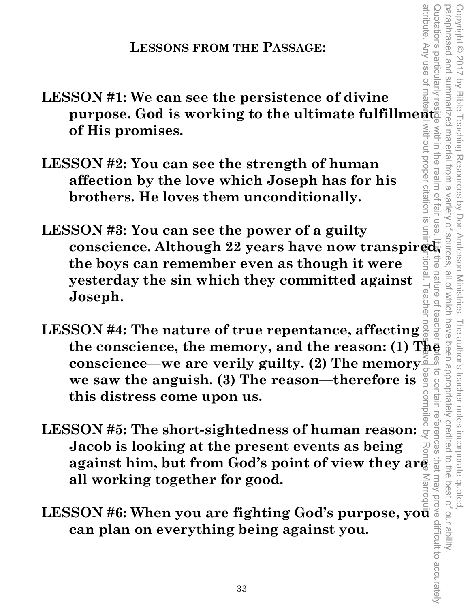#### **LESSONS FROM THE PASSAGE:**

- **LESSON #1: We can see the persistence of divine purpose. God is working to the ultimate fulfillment**  Without proper citation is **of His promises.**
- **LESSON #2: You can see the strength of human affection by the love which Joseph has for his brothers. He loves them unconditionally.**
- attribute. Any use of material without proper citation is unintentional. Teacher notes have been compiled by Ronnie Marroquin. Quotations particularly reside within the realm of fair use. It is the nature of teacher mites to contain references that may prove difficult to accurately **Tall USe LESSON #3: You can see the power of a guilty conscience. Although 22 years have now transpired,**  the **the boys can remember even as though it were**  nature of **yesterday the sin which they committed against**  eache **Joseph.**

Copyright © 2017 by Bible Teaching Resources by Don Anderson Ministries. The author's teacher notes incorporate quoted,

The author's teacher notes

incorporate quoted

to the best of our ability

Copyright © 2017 by Bible Teaching Resources by Don Anderson Ministries.

summarized material from a

within the realm of

paraphrased and summarized material from a variety of sources, all of which have been appropriately credited to the best of our ability.

all of Which have

teache

paraphrased and

- **LESSON #4: The nature of true repentance, affecting**  the conscience, the memory, and the reason: (1) The conscience—we are verily guilty. (2) The memory  $\frac{3}{4}$  we saw the anguish. (3) The reason—therefore is  $\frac{3}{8}$  or  $\frac{3}{8}$  we saw the anguish. (3) The reason—there **we saw the anguish. (3) The reason—therefore is this distress come upon us.**
- **conscience—we are verily guilty. (2) The memory**<br> **conscience—we are verily guilty. (2) The memory**<br> **constant this distress come upon us.**<br>
SSON #5: The short-sightedness of human reason:  $\frac{1}{2}$ <br>
sighting<br>
against him **LESSON #5: The short-sightedness of human reason: Jacob is looking at the present events as being against him, but from God's point of view they are all working together for good.**
- LESSON #6: When you are fighting God's purpose, yo<del>u</del> **can plan on everything being against you.**